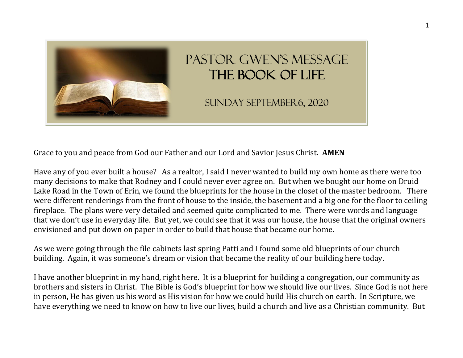

## Pastor Gwen's Message The Book of Life

Sunday September6, 2020

Grace to you and peace from God our Father and our Lord and Savior Jesus Christ. **AMEN**

Have any of you ever built a house? As a realtor, I said I never wanted to build my own home as there were too many decisions to make that Rodney and I could never ever agree on. But when we bought our home on Druid Lake Road in the Town of Erin, we found the blueprints for the house in the closet of the master bedroom. There were different renderings from the front of house to the inside, the basement and a big one for the floor to ceiling fireplace. The plans were very detailed and seemed quite complicated to me. There were words and language that we don't use in everyday life. But yet, we could see that it was our house, the house that the original owners envisioned and put down on paper in order to build that house that became our home.

As we were going through the file cabinets last spring Patti and I found some old blueprints of our church building. Again, it was someone's dream or vision that became the reality of our building here today.

I have another blueprint in my hand, right here. It is a blueprint for building a congregation, our community as brothers and sisters in Christ. The Bible is God's blueprint for how we should live our lives. Since God is not here in person, He has given us his word as His vision for how we could build His church on earth. In Scripture, we have everything we need to know on how to live our lives, build a church and live as a Christian community. But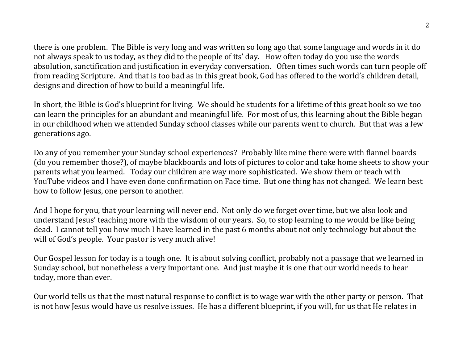there is one problem. The Bible is very long and was written so long ago that some language and words in it do not always speak to us today, as they did to the people of its' day. How often today do you use the words absolution, sanctification and justification in everyday conversation. Often times such words can turn people off from reading Scripture. And that is too bad as in this great book, God has offered to the world's children detail, designs and direction of how to build a meaningful life.

In short, the Bible is God's blueprint for living. We should be students for a lifetime of this great book so we too can learn the principles for an abundant and meaningful life. For most of us, this learning about the Bible began in our childhood when we attended Sunday school classes while our parents went to church. But that was a few generations ago.

Do any of you remember your Sunday school experiences? Probably like mine there were with flannel boards (do you remember those?), of maybe blackboards and lots of pictures to color and take home sheets to show your parents what you learned. Today our children are way more sophisticated. We show them or teach with YouTube videos and I have even done confirmation on Face time. But one thing has not changed. We learn best how to follow Jesus, one person to another.

And I hope for you, that your learning will never end. Not only do we forget over time, but we also look and understand Jesus' teaching more with the wisdom of our years. So, to stop learning to me would be like being dead. I cannot tell you how much I have learned in the past 6 months about not only technology but about the will of God's people. Your pastor is very much alive!

Our Gospel lesson for today is a tough one. It is about solving conflict, probably not a passage that we learned in Sunday school, but nonetheless a very important one. And just maybe it is one that our world needs to hear today, more than ever.

Our world tells us that the most natural response to conflict is to wage war with the other party or person. That is not how Jesus would have us resolve issues. He has a different blueprint, if you will, for us that He relates in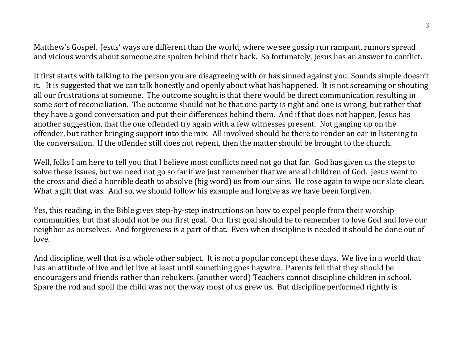Matthew's Gospel. Jesus' ways are different than the world, where we see gossip run rampant, rumors spread and vicious words about someone are spoken behind their back. So fortunately, Jesus has an answer to conflict.

It first starts with talking to the person you are disagreeing with or has sinned against you. Sounds simple doesn't it. It is suggested that we can talk honestly and openly about what has happened. It is not screaming or shouting all our frustrations at someone. The outcome sought is that there would be direct communication resulting in some sort of reconciliation. The outcome should not be that one party is right and one is wrong, but rather that they have a good conversation and put their differences behind them. And if that does not happen, Jesus has another suggestion, that the one offended try again with a few witnesses present. Not ganging up on the offender, but rather bringing support into the mix. All involved should be there to render an ear in listening to the conversation. If the offender still does not repent, then the matter should be brought to the church.

Well, folks I am here to tell you that I believe most conflicts need not go that far. God has given us the steps to solve these issues, but we need not go so far if we just remember that we are all children of God. Jesus went to the cross and died a horrible death to absolve (big word) us from our sins. He rose again to wipe our slate clean. What a gift that was. And so, we should follow his example and forgive as we have been forgiven.

Yes, this reading, in the Bible gives step-by-step instructions on how to expel people from their worship communities, but that should not be our first goal. Our first goal should be to remember to love God and love our neighbor as ourselves. And forgiveness is a part of that. Even when discipline is needed it should be done out of love.

And discipline, well that is a whole other subject. It is not a popular concept these days. We live in a world that has an attitude of live and let live at least until something goes haywire. Parents fell that they should be encouragers and friends rather than rebukers. (another word) Teachers cannot discipline children in school. Spare the rod and spoil the child was not the way most of us grew us. But discipline performed rightly is